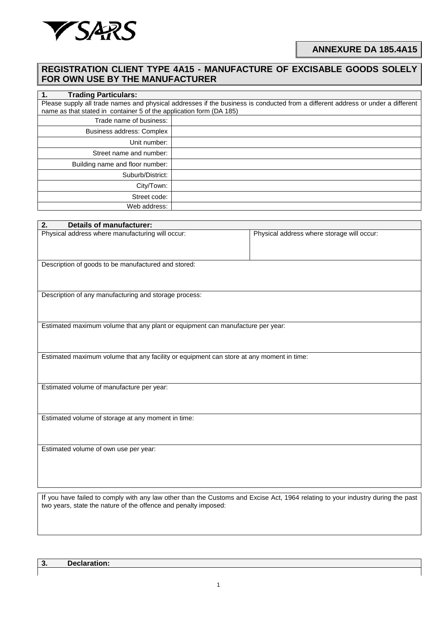

## **REGISTRATION CLIENT TYPE 4A15 - MANUFACTURE OF EXCISABLE GOODS SOLELY FOR OWN USE BY THE MANUFACTURER**

| <b>Trading Particulars:</b><br>1.                                                                                               |  |  |  |
|---------------------------------------------------------------------------------------------------------------------------------|--|--|--|
| Please supply all trade names and physical addresses if the business is conducted from a different address or under a different |  |  |  |
| name as that stated in container 5 of the application form (DA 185)                                                             |  |  |  |
| Trade name of business:                                                                                                         |  |  |  |
| Business address: Complex                                                                                                       |  |  |  |
| Unit number:                                                                                                                    |  |  |  |
| Street name and number:                                                                                                         |  |  |  |
| Building name and floor number:                                                                                                 |  |  |  |
| Suburb/District:                                                                                                                |  |  |  |
| City/Town:                                                                                                                      |  |  |  |
| Street code:                                                                                                                    |  |  |  |
| Web address:                                                                                                                    |  |  |  |

| <b>Details of manufacturer:</b><br>2.                                                                                           |                                            |  |  |  |
|---------------------------------------------------------------------------------------------------------------------------------|--------------------------------------------|--|--|--|
| Physical address where manufacturing will occur:                                                                                | Physical address where storage will occur: |  |  |  |
| Description of goods to be manufactured and stored:                                                                             |                                            |  |  |  |
| Description of any manufacturing and storage process:                                                                           |                                            |  |  |  |
| Estimated maximum volume that any plant or equipment can manufacture per year:                                                  |                                            |  |  |  |
| Estimated maximum volume that any facility or equipment can store at any moment in time:                                        |                                            |  |  |  |
| Estimated volume of manufacture per year:                                                                                       |                                            |  |  |  |
| Estimated volume of storage at any moment in time:                                                                              |                                            |  |  |  |
| Estimated volume of own use per year:                                                                                           |                                            |  |  |  |
| If you have failed to comply with any law other than the Customs and Excise Act, 1964 relating to your industry during the past |                                            |  |  |  |

**3. Declaration:**

two years, state the nature of the offence and penalty imposed: